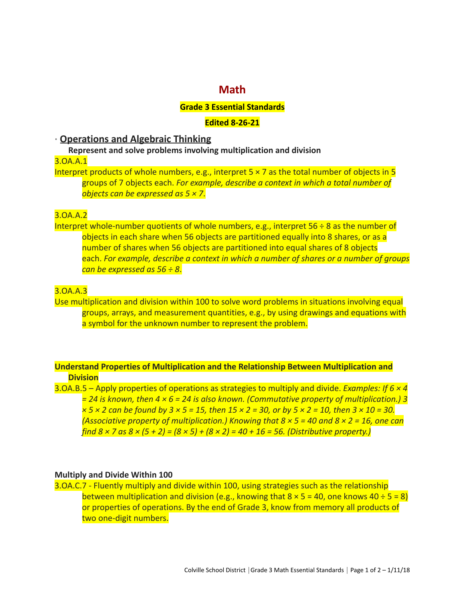# **Math**

#### **Grade 3 Essential Standards**

#### **Edited 8-26-21**

## **∙ Operations and Algebraic Thinking**

**Represent and solve problems involving multiplication and division**

3.OA.A.1

Interpret products of whole numbers, e.g., interpret  $5 \times 7$  as the total number of objects in 5 groups of 7 objects each. *For example, describe a context in which a total number of objects can be expressed as 5 × 7*.

## 3.OA.A.2

Interpret whole-number quotients of whole numbers, e.g., interpret 56 ÷ 8 as the number of objects in each share when 56 objects are partitioned equally into 8 shares, or as a number of shares when 56 objects are partitioned into equal shares of 8 objects each. *For example, describe a context in which a number of shares or a number of groups can be expressed as 56 ÷ 8*.

#### 3.OA.A.3

Use multiplication and division within 100 to solve word problems in situations involving equal groups, arrays, and measurement quantities, e.g., by using drawings and equations with a symbol for the unknown number to represent the problem.

## **Understand Properties of Multiplication and the Relationship Between Multiplication and Division**

3.OA.B.5 – Apply properties of operations as strategies to multiply and divide. *Examples: If 6 × 4 = 24 is known, then 4 × 6 = 24 is also known. (Commutative property of multiplication.) 3 × 5 × 2 can be found by 3 × 5 = 15, then 15 × 2 = 30, or by 5 × 2 = 10, then 3 × 10 = 30. (Associative property of multiplication.) Knowing that 8 × 5 = 40 and 8 × 2 = 16, one can find 8 × 7 as 8 × (5 + 2) = (8 × 5) + (8 × 2) = 40 + 16 = 56. (Distributive property.)*

#### **Multiply and Divide Within 100**

3.OA.C.7 - Fluently multiply and divide within 100, using strategies such as the relationship between multiplication and division (e.g., knowing that  $8 \times 5 = 40$ , one knows  $40 \div 5 = 8$ ) or properties of operations. By the end of Grade 3, know from memory all products of two one-digit numbers.